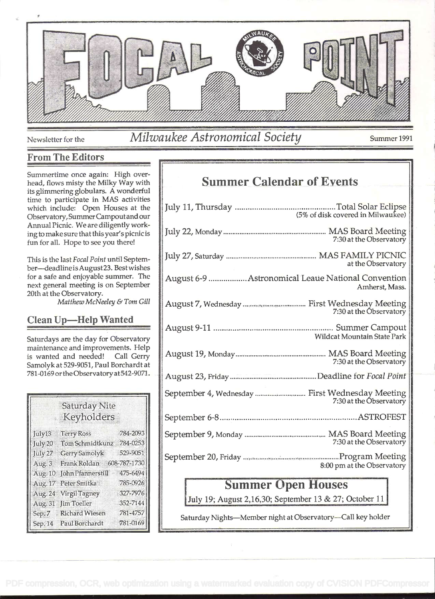

Newsletter for the *Milwaukee Astronomical Society* Summer 1991

#### From The Editors

Summertime once again: High overhead, flows misty the Milky Way with its glimmering globulars. A wonderful time to participate in MAS activities which include: Open Houses at the Observatory, SummerCampoutand our Annual Picnic. We are diligently working to make sure that thisyear's picnic is fun for all. Hope to see you there!

This is the last Focal Point until September-deadline is August 23. Best wishes for a safe and enjoyable summer. The next general meeting is on September 20th at the Observatory.

Matthew McNeeley & Tom Gill

### Clean Up-Help Wanted

Saturdays are the day for Observatory maintenance and improvements. Help is wanted and needed! Call Gerry Samolyk at 529-9051, Paul Borchardt at 781-0169 or the Observatory at 542-9071.

|         | <b>Saturday Nite</b><br>Keyholders |          |
|---------|------------------------------------|----------|
| July13  | <b>Terry Ross</b>                  | 784-2093 |
| July 20 | Tom Schmidtkunz 784-0253           |          |
| July 27 | <b>Gerry Samolyk</b>               | 529-9051 |
| Aug. 3  | Frank Roldan 608-787-1730          |          |
|         | Aug. 10 John Pfannerstill          | 475-6494 |
|         | Aug. 17 Peter Smitka               | 785-0926 |
|         | Aug. 24 Virgil Tagney              | 327-7976 |
|         | Aug. 31 Jim Toeller                | 352-7144 |
|         | Sep. 7 Richard Wiesen              | 781-4757 |
|         | Sep. 14 Paul Borchardt             | 781-0169 |

# Summer Calendar of Events

## Summer Open Houses

July 19; August 2,16,30; September 13 & 27; October <sup>11</sup>

Saturday Nights-Member night at Observatory-Call key holder